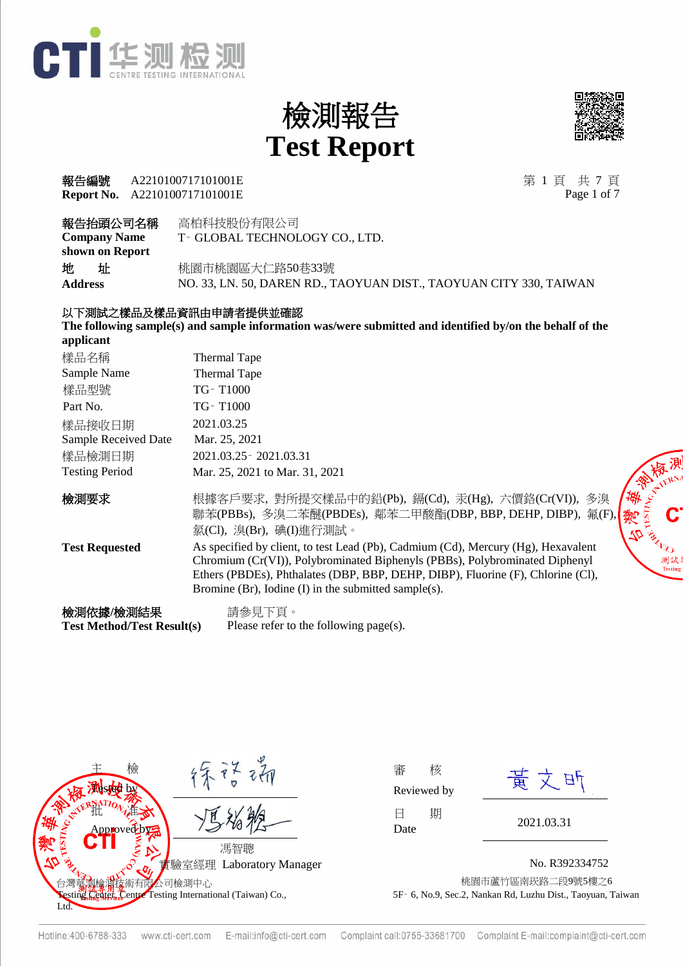



#### **Report No.** A2210100717101001E **報告編號 A2210100717101001E** 第 1 頁 共 7 頁

Page 1 of 7

| 報告抬頭公司名稱            | 高柏科技股份有限公司                                                         |
|---------------------|--------------------------------------------------------------------|
| <b>Company Name</b> | T- GLOBAL TECHNOLOGY CO., LTD.                                     |
| shown on Report     |                                                                    |
| 地<br>址              | 桃園市桃園區大仁路50巷33號                                                    |
| Address             | NO. 33, LN. 50, DAREN RD., TAOYUAN DIST., TAOYUAN CITY 330, TAIWAN |
|                     |                                                                    |

#### 以下測試之樣品及樣品資訊由申請者提供並確認

**The following sample(s) and sample information was/were submitted and identified by/on the behalf of the applicant**

| 樣品名稱                                           | Thermal Tape                                                                                                                                                                                                                                                                                                |
|------------------------------------------------|-------------------------------------------------------------------------------------------------------------------------------------------------------------------------------------------------------------------------------------------------------------------------------------------------------------|
| Sample Name                                    | Thermal Tape                                                                                                                                                                                                                                                                                                |
| 樣品型號                                           | TG-T1000                                                                                                                                                                                                                                                                                                    |
| Part No.                                       | TG-T1000                                                                                                                                                                                                                                                                                                    |
| 樣品接收日期                                         | 2021.03.25                                                                                                                                                                                                                                                                                                  |
| Sample Received Date                           | Mar. 25, 2021                                                                                                                                                                                                                                                                                               |
| 樣品檢測日期                                         | 2021.03.25 - 2021.03.31                                                                                                                                                                                                                                                                                     |
| <b>Testing Period</b>                          | Mar. 25, 2021 to Mar. 31, 2021                                                                                                                                                                                                                                                                              |
| 檢測要求                                           | <b>PARTIES IN REAL</b><br>根據客戶要求, 對所提交樣品中的鉛(Pb), 鎘(Cd), 汞(Hg), 六價鉻(Cr(VI)), 多溴<br>聯苯(PBBs), 多溴二苯醚(PBDEs), 鄰苯二甲酸酯(DBP, BBP, DEHP, DIBP), 氟(F),<br>鄭<br>氯(Cl), 溴(Br), 碘(I)進行測試。                                                                                                                               |
| <b>Test Requested</b>                          | As specified by client, to test Lead (Pb), Cadmium (Cd), Mercury (Hg), Hexavalent<br>Chromium (Cr(VI)), Polybrominated Biphenyls (PBBs), Polybrominated Diphenyl<br>Ethers (PBDEs), Phthalates (DBP, BBP, DEHP, DIBP), Fluorine (F), Chlorine (Cl),<br>Bromine (Br), Iodine (I) in the submitted sample(s). |
| 檢測依據/檢測結果<br><b>Test Method/Test Result(s)</b> | 請參見下頁。<br>Please refer to the following page(s).                                                                                                                                                                                                                                                            |



| 番    | 核           |
|------|-------------|
|      | Reviewed by |
| Н    | 期           |
| Date |             |

黄文昕

No. R392334752 術有限公司檢測中心 しょうがく しょうがく しゅうがく かんこう かいこう おんじゅう おんじゅう しゅうかん あいまん おんちゅう 5F‑ 6, No.9, Sec.2, Nankan Rd, Luzhu Dist., Taoyuan, Taiwan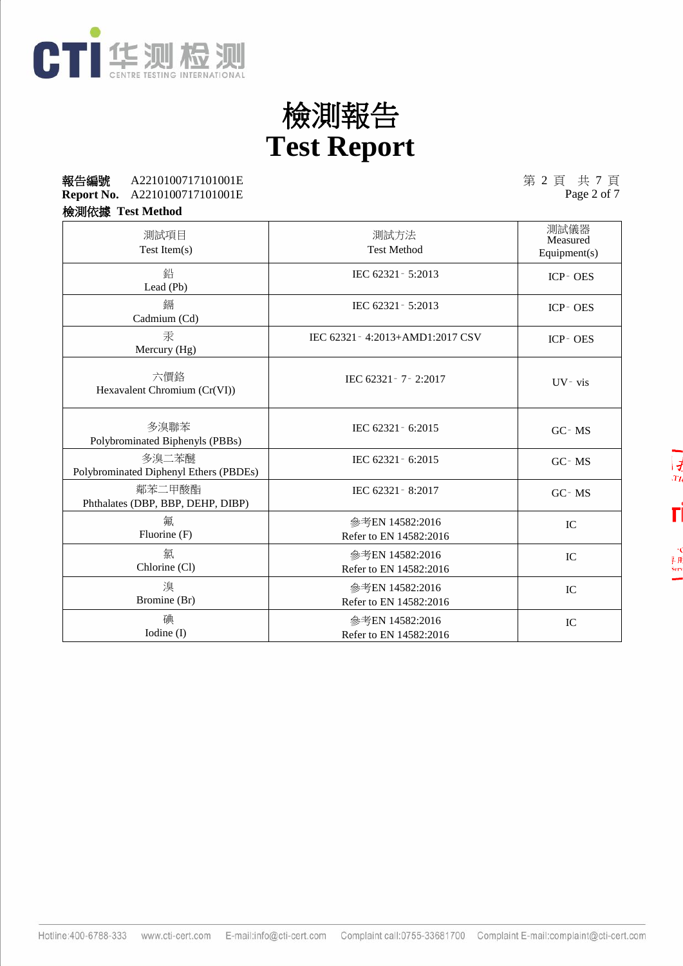

#### **Report No.** A2210100717101001E 報告編號 第 2 頁 共 7 頁 A2210100717101001E

第 2 頁 共 7 頁<br>Page 2 of 7

檢測依據 **Test Method**

| ~~~~                                            |                                           |                                  |
|-------------------------------------------------|-------------------------------------------|----------------------------------|
| 測試項目<br>Test Item $(s)$                         | 測試方法<br><b>Test Method</b>                | 測試儀器<br>Measured<br>Equipment(s) |
| 鉛<br>Lead (Pb)                                  | IEC 62321 - 5:2013                        | ICP-OES                          |
| 鎘<br>Cadmium (Cd)                               | IEC 62321 - 5:2013                        | ICP-OES                          |
| 汞<br>Mercury (Hg)                               | IEC 62321 - 4:2013+AMD1:2017 CSV          | ICP-OES                          |
| 六價鉻<br>Hexavalent Chromium (Cr(VI))             | IEC 62321 - 7 - 2:2017                    | UV-vis                           |
| 多溴聯苯<br>Polybrominated Biphenyls (PBBs)         | IEC 62321 - 6:2015                        | GC-MS                            |
| 多溴二苯醚<br>Polybrominated Diphenyl Ethers (PBDEs) | IEC 62321 - 6:2015                        | GC-MS                            |
| 鄰苯二甲酸酯<br>Phthalates (DBP, BBP, DEHP, DIBP)     | IEC 62321 - 8:2017                        | GC-MS                            |
| 氟<br>Fluorine (F)                               | 參考EN 14582:2016<br>Refer to EN 14582:2016 | IC                               |
| 氯<br>Chlorine (Cl)                              | 參考EN 14582:2016<br>Refer to EN 14582:2016 | IC                               |
| 溴<br>Bromine (Br)                               | 參考EN 14582:2016<br>Refer to EN 14582:2016 | IC                               |
| 碘<br>Iodine (I)                                 | 參考EN 14582:2016<br>Refer to EN 14582:2016 | IC                               |

早月<br>Serv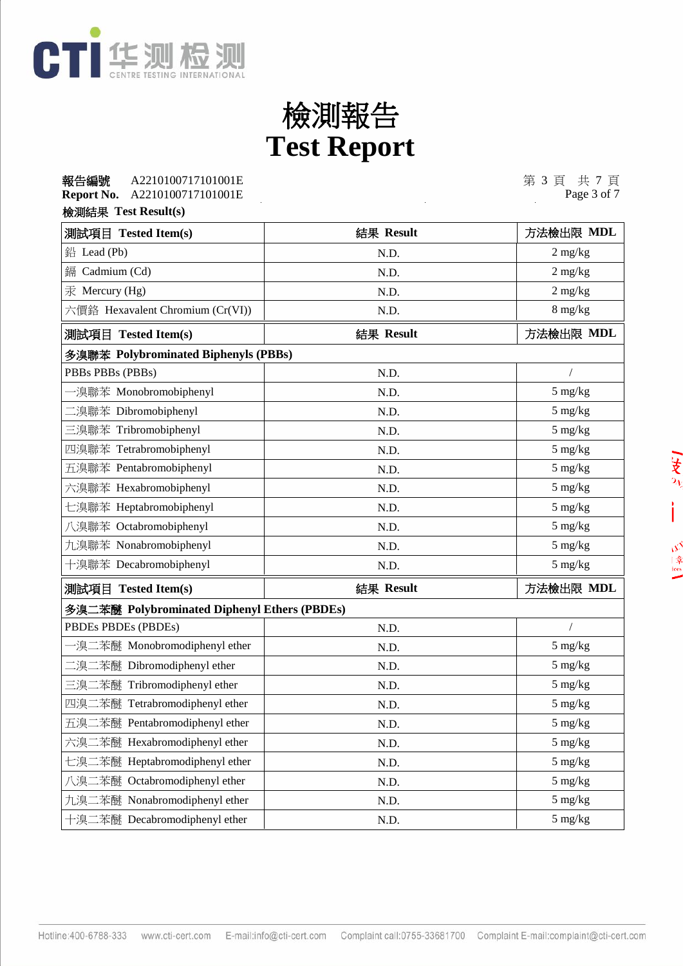

#### **Report No.** A2210100717101001E 報告編號 第 3 頁 共 7 頁 A2210100717101001E

第 3 頁 共 7 頁<br>Page 3 of 7

#### 檢測結果 **Test Result(s)**

| 測試項目 Tested Item(s)                          | 結果 Result | 方法檢出限 MDL                       |  |  |
|----------------------------------------------|-----------|---------------------------------|--|--|
| 鉛 Lead (Pb)                                  | N.D.      | $2 \frac{\text{mg}}{\text{kg}}$ |  |  |
| Cadmium (Cd)<br>鎘                            | N.D.      | $2$ mg/kg                       |  |  |
| 汞 Mercury (Hg)                               | N.D.      | $2 \text{ mg/kg}$               |  |  |
| 六價鉻 Hexavalent Chromium (Cr(VI))             | N.D.      | $8 \text{ mg/kg}$               |  |  |
| 測試項目 Tested Item(s)                          | 結果 Result | 方法檢出限 MDL                       |  |  |
| 多溴聯苯 Polybrominated Biphenyls (PBBs)         |           |                                 |  |  |
| PBBs PBBs (PBBs)                             | N.D.      | $\sqrt{2}$                      |  |  |
| -溴聯苯 Monobromobiphenyl                       | N.D.      | 5 mg/kg                         |  |  |
| 二溴聯苯 Dibromobiphenyl                         | N.D.      | 5 mg/kg                         |  |  |
| 三溴聯苯 Tribromobiphenyl                        | N.D.      | 5 mg/kg                         |  |  |
| 四溴聯苯 Tetrabromobiphenyl                      | N.D.      | 5 mg/kg                         |  |  |
| 五溴聯苯 Pentabromobiphenyl                      | N.D.      | 5 mg/kg                         |  |  |
| 六溴聯苯 Hexabromobiphenyl                       | N.D.      | 5 mg/kg                         |  |  |
| 七溴聯苯 Heptabromobiphenyl                      | N.D.      | 5 mg/kg                         |  |  |
| 八溴聯苯 Octabromobiphenyl                       | N.D.      | 5 mg/kg                         |  |  |
| 九溴聯苯 Nonabromobiphenyl                       | N.D.      | 5 mg/kg                         |  |  |
| 十溴聯苯 Decabromobiphenyl                       | N.D.      | $5 \text{ mg/kg}$               |  |  |
| 測試項目 Tested Item(s)                          | 結果 Result | 方法檢出限 MDL                       |  |  |
| 多溴二苯醚 Polybrominated Diphenyl Ethers (PBDEs) |           |                                 |  |  |
| PBDEs PBDEs (PBDEs)                          | N.D.      | $\sqrt{2}$                      |  |  |
| ·溴二苯醚 Monobromodiphenyl ether                | N.D.      | 5 mg/kg                         |  |  |
| 二溴二苯醚 Dibromodiphenyl ether                  | N.D.      | 5 mg/kg                         |  |  |
| 三溴二苯醚 Tribromodiphenyl ether                 | N.D.      | 5 mg/kg                         |  |  |
| 四溴二苯醚 Tetrabromodiphenyl ether               | N.D.      | 5 mg/kg                         |  |  |
| 五溴二苯醚 Pentabromodiphenyl ether               | N.D.      | 5 mg/kg                         |  |  |
| 六溴二苯醚 Hexabromodiphenyl ether                | N.D.      | $5 \text{ mg/kg}$               |  |  |
| 七溴二苯醚 Heptabromodiphenyl ether               | N.D.      | 5 mg/kg                         |  |  |
| 八溴二苯醚 Octabromodiphenyl ether                | N.D.      | $5 \text{ mg/kg}$               |  |  |
| 九溴二苯醚 Nonabromodiphenyl ether                | N.D.      | $5 \text{ mg/kg}$               |  |  |
| 十溴二苯醚 Decabromodiphenyl ether                | N.D.      | $5 \text{ mg/kg}$               |  |  |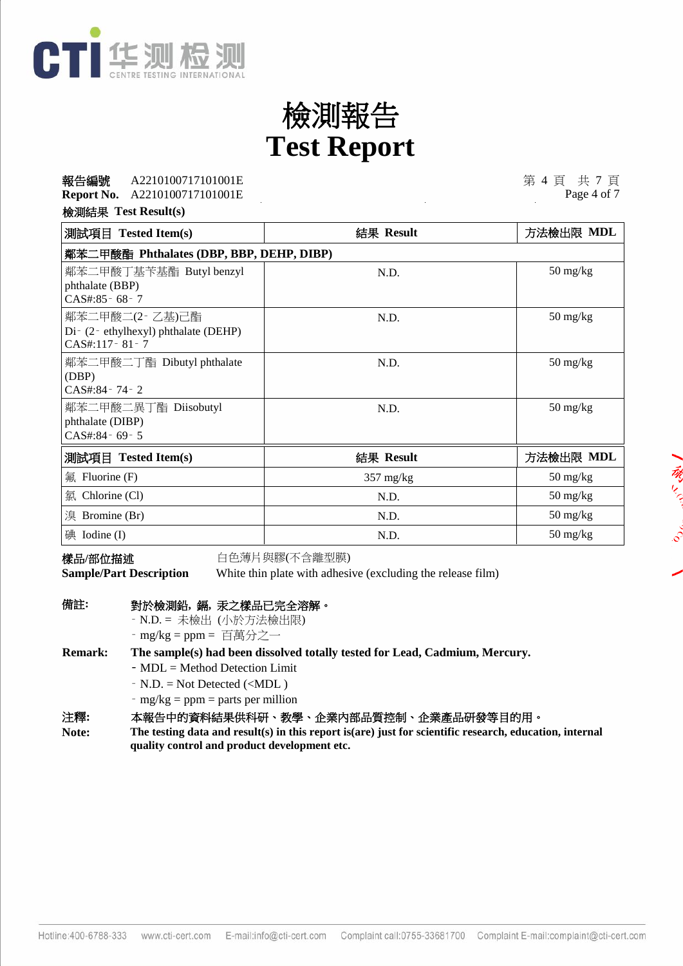

#### **Report No.** A2210100717101001E **報告編號 A2210100717101001E** 2010 2010 2010 2010 2010 2010 2010 第 4 頁 共 7 頁 A2210100717101001E

Page 4 of 7

あとく

檢測結果 **Test Result(s)**

| 測試項目 Tested Item(s)                      | 結果 Result           | 方法檢出限 MDL                        |  |
|------------------------------------------|---------------------|----------------------------------|--|
| 鄰苯二甲酸酯 Phthalates (DBP, BBP, DEHP, DIBP) |                     |                                  |  |
| 鄰苯二甲酸丁基苄基酯 Butyl benzyl                  | N.D.                | $50 \frac{\text{mg}}{\text{kg}}$ |  |
| phthalate (BBP)<br>CAS#:85 - 68 - 7      |                     |                                  |  |
| 鄰苯二甲酸二(2-乙基)己酯                           | N.D.                | $50 \frac{\text{mg}}{\text{kg}}$ |  |
| Di- (2- ethylhexyl) phthalate (DEHP)     |                     |                                  |  |
| $CAS#:117-81-7$                          |                     |                                  |  |
| 鄰苯二甲酸二丁酯 Dibutyl phthalate               | N.D.                | $50 \frac{\text{mg}}{\text{kg}}$ |  |
| (DBP)<br>$CAS#:84 - 74 - 2$              |                     |                                  |  |
| 鄰苯二甲酸二異丁酯 Diisobutyl                     | N.D.                | $50 \frac{\text{mg}}{\text{kg}}$ |  |
| phthalate (DIBP)                         |                     |                                  |  |
| CAS#:84-69-5                             |                     |                                  |  |
| 測試項目 Tested Item(s)                      | 結果 Result           | 方法檢出限 MDL                        |  |
| 氟 Fluorine $(F)$                         | $357 \text{ mg/kg}$ | $50 \frac{\text{mg}}{\text{kg}}$ |  |
| 氯 Chlorine (Cl)                          | N.D.                | $50 \frac{\text{mg}}{\text{kg}}$ |  |
| 溴 Bromine (Br)                           | N.D.                | $50 \frac{\text{mg}}{\text{kg}}$ |  |
| 碘 Iodine (I)                             | N.D.                | $50 \frac{\text{mg}}{\text{kg}}$ |  |

樣品/部位描述 **bubgeed backed backed by control de de filter** (不含離型膜)

**Sample/Part Description** White thin plate with adhesive (excluding the release film)

| 備註: |  | 對於檢測鉛, 鎘, 汞之樣品已完全溶解。 |
|-----|--|----------------------|
|     |  |                      |

‑ N.D. = 未檢出 (小於方法檢出限)

 $-$  mg/kg = ppm = 百萬分之一

**Remark: The sample(s) had been dissolved totally tested for Lead, Cadmium, Mercury.**

- ‑ MDL = Method Detection Limit
- ‑ N.D. = Not Detected (<MDL )
- $-$  mg/kg = ppm = parts per million

注釋**:** 本報告中的資料結果供科研、教學、企業內部品質控制、企業產品研發等目的用。

**The testing data and result(s) in this report is(are) just for scientific research, education, internal quality control and product development etc. Note:**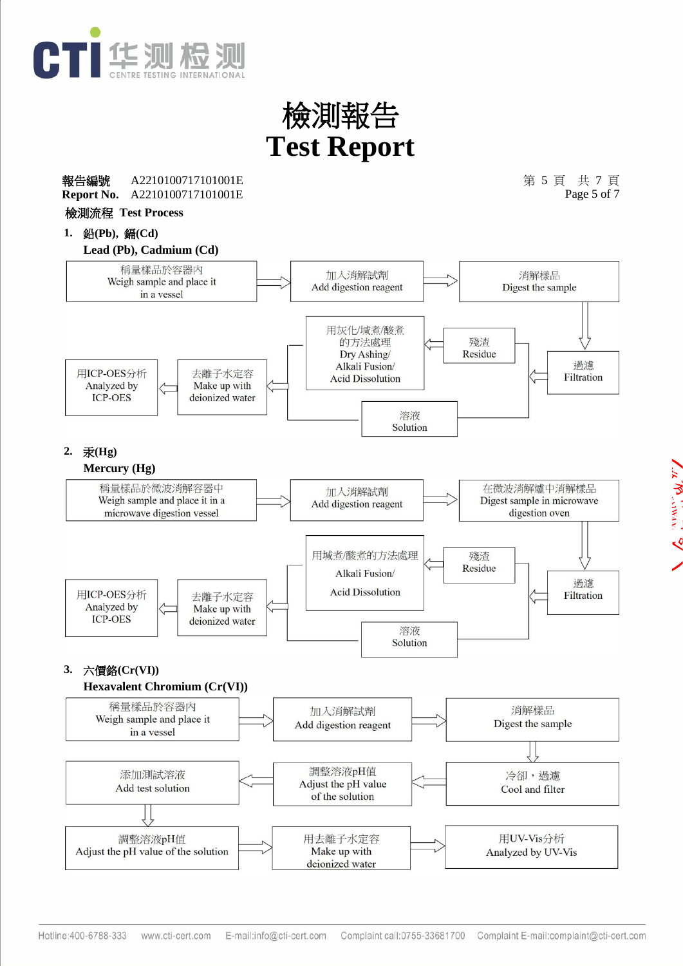



W WALLACT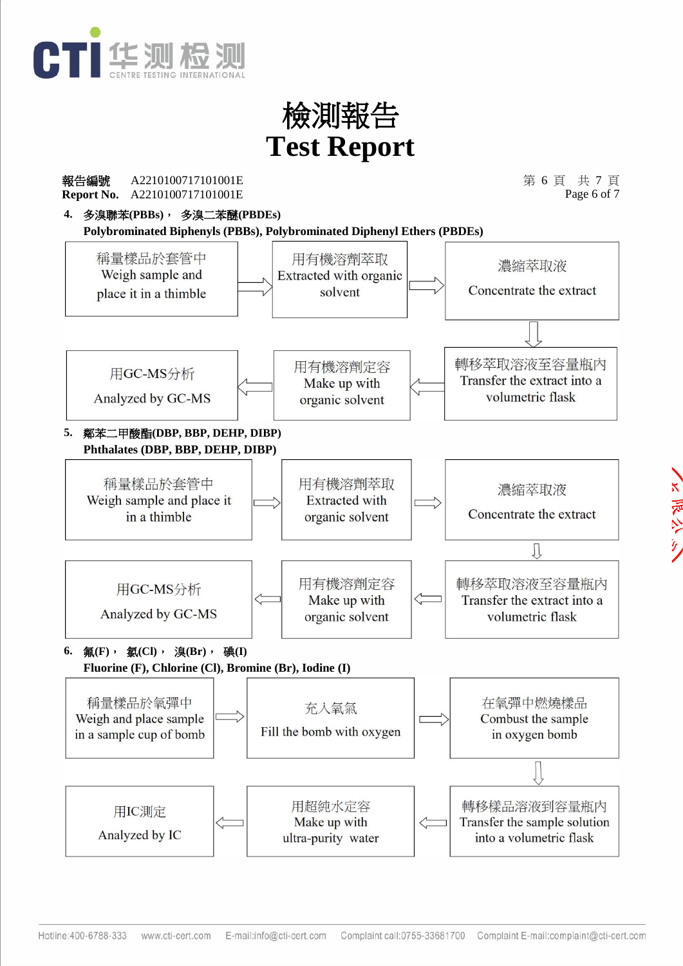

**Report No. 報告編號 A2210100717101001E** 2010 2010 2010 2010 2010 2010 第 6 頁 共 7 頁 A2210100717101001E A2210100717101001E

Page 6 of 7

**4.** 多溴聯苯**(PBBs)**, 多溴二苯醚**(PBDEs)**

**Polybrominated Biphenyls (PBBs), Polybrominated Diphenyl Ethers (PBDEs)**